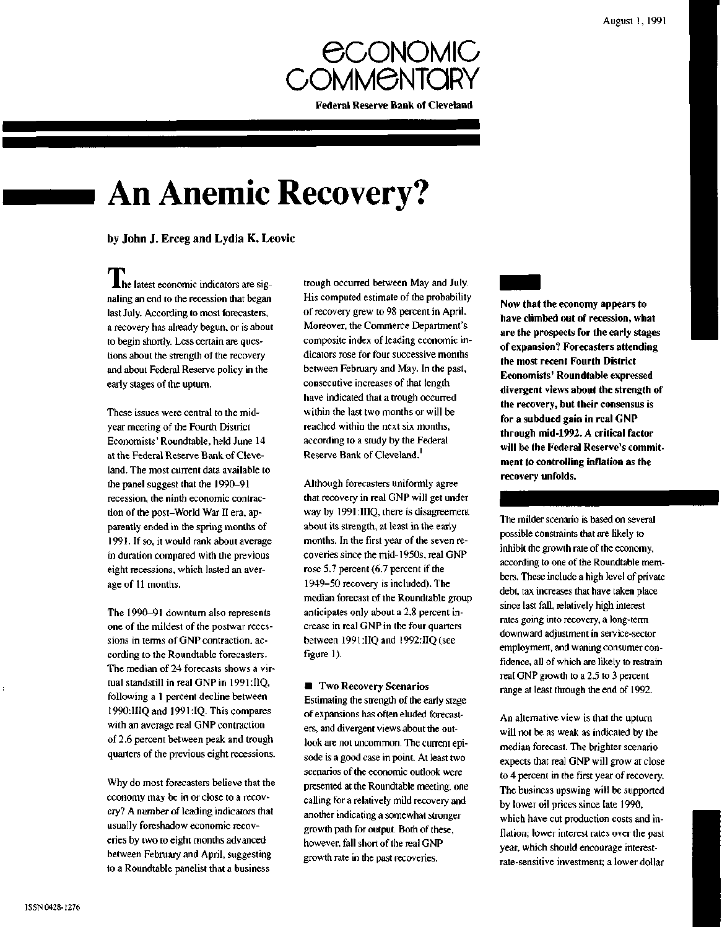

# **An Anemic Recovery?**

## by John J. Erceg and Lydia K. Leovic

The latest economic indicators are signaling an end to the recession that began last July. According to most forecasters, a recovery has already begun, or is about to begin shortly. Less certain are questions about the strength of the recovery and about Federal Reserve policy in the early stages of the upturn.

These issues were central to the midyear meeting of the Fourth District Economists' Roundtable, held June 14 at the Federal Reserve Bank of Cleveland. The most current data available to the panel suggest that the 1990-91 recession, the ninth economic contraction of the post-World War II era, apparently ended in the spring months of 1991. If so, it would rank about average in duration compared with the previous eight recessions, which lasted an average of 11 months.

The 1990-91 downturn also represents one of the mildest of the postwar recessions in terms of GNP contraction, according to the Roundtable forecasters. The median of 24 forecasts shows a virtual standstill in real GNP in 1991 :IIQ, following a 1 percent decline between 1990:IIIQ and 1991 :IQ. This compares with an average real GNP contraction of 2.6 percent between peak and trough quarters of the previous eight recessions.

Why do most forecasters believe that the economy may be in or close to a recovery? A number of leading indicators that usually foreshadow economic recoveries by two to eight months advanced between February and April, suggesting to a Roundtable panelist that a business

trough occurred between May and July. His computed estimate of the probability of recovery grew to 98 percent in April. Moreover, the Commerce Department's composite index of leading economic indicators rose for four successive months between February and May. In the past, consecutive increases of that length have indicated that a trough occurred within the last two months or will be reached within the next six months, according to a study by the Federal Reserve Bank of Cleveland.<sup>1</sup>

Although forecasters uniformly agree that recovery in real GNP will get under way by 1991 :IIIQ, there is disagreement about its strength, at least in the early months. In the first year of the seven recoveries since the mid-1950s, real GNP rose 5.7 percent (6.7 percent if the 1949-50 recovery is included). The median forecast of the Roundtable group anticipates only about a 2.8 percent increase in real GNP in the four quarters between 1991:IIQ and 1992:IIQ (see figure 1).

 $\blacksquare$  Two Recovery Scenarios Estimating the strength of the early stage of expansions has often eluded forecasters, and divergent views about the outlook are not uncommon. The current episode is a good case in point. At least two scenarios of the economic outlook were presented at the Roundtable meeting, one calling for a relatively mild recovery and another indicating a somewhat stronger growth path for output. Both of these, however, fall short of the real GNP growth rate in the past recoveries.

**Now that the economy appears to have climbed out of recession, what are the prospects for the early stages of expansion? Forecasters attending the most recent Fourth District Economists' Roundtable expressed divergent views about the strength of the recovery, but their consensus is for a subdued gain in real GNP through mid-1992. A critical factor will be the Federal Reserve's commitment to controlling inflation as the recovery unfolds.**

The milder scenario is based on several possible constraints that are likely to inhibit the growth rate of the economy, according to one of the Roundtable members. These include a high level of private debt, tax increases that have taken place since last fall, relatively high interest rates going into recovery, a long-term downward adjustment in service-sector employment, and waning consumer confidence, all of which are likely to restrain real GNP growth to a 2.5 to 3 percent range at least through the end of 1992.

An alternative view is that the upturn will not be as weak as indicated by the median forecast. The brighter scenario expects that real GNP will grow at close to 4 percent in the first year of recovery. The business upswing will be supported by lower oil prices since late 1990, which have cut production costs and inflation; lower interest rates over the past year, which should encourage interestrate-sensitive investment; a lower dollar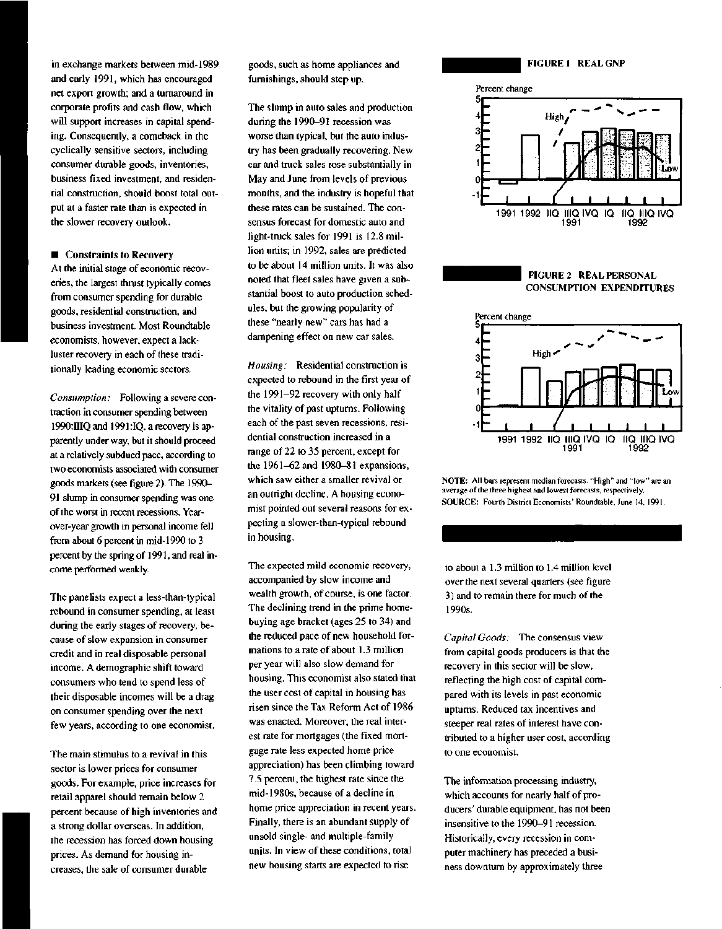in exchange markets between mid-1989 and early 1991, which has encouraged net export growth; and a turnaround in corporate profits and cash flow, which will support increases in capital spending. Consequently, a comeback in the cyclically sensitive sectors, including consumer durable goods, inventories, business fixed investment, and residential construction, should boost total output at a faster rate than is expected in the slower recovery outlook.

#### **• Constraints to Recovery**

At the initial stage of economic recoveries, the largest thrust typically comes from consumer spending for durable goods, residential construction, and business investment. Most Roundtable economists, however, expect a lackluster recovery in each of these traditionally leading economic sectors.

*Consumption:* Following a severe contraction in consumer spending between 1990:HIQ and 1991 :IQ, a recovery is apparently under way, but it should proceed at a relatively subdued pace, according to two economists associated with consumer goods markets (see figure 2). The 1990- 91 slump in consumer spending was one of the worst in recent recessions. Yearover-year growth in personal income fell from about 6 percent in mid-1990 to 3 percent by the spring of 1991, and real income performed weakly.

The panelists expect a less-than-typical rebound in consumer spending, at least during the early stages of recovery, because of slow expansion in consumer credit and in real disposable personal income. A demographic shift toward consumers who tend to spend less of their disposable incomes will be a drag on consumer spending over the next few years, according to one economist.

The main stimulus to a revival in this sector is lower prices for consumer goods. For example, price increases for retail apparel should remain below 2 percent because of high inventories and a strong dollar overseas. In addition, the recession has forced down housing prices. As demand for housing increases, the sale of consumer durable

goods, such as home appliances and furnishings, should step up.

The slump in auto sales and production during the 1990-91 recession was worse than typical, but the auto industry has been gradually recovering. New car and truck sales rose substantially in May and June from levels of previous months, and the industry is hopeful that these rates can be sustained. The consensus forecast for domestic auto and light-truck sales for 1991 is 12.8 million units; in 1992, sales are predicted to be about 14 million units. It was also noted that fleet sales have given a substantial boost to auto production schedules, but the growing popularity of these "nearly new" cars has had a dampening effect on new car sales.

*Housing:* Residential construction is expected to rebound in the first year of the 1991-92 recovery with only half the vitality of past upturns. Following each of the past seven recessions, residential construction increased in a range of 22 to 35 percent, except for the 1961-62 and 1980-81 expansions, which saw either a smaller revival or an outright decline. A housing economist pointed out several reasons for expecting a slower-than-typical rebound in housing.

The expected mild economic recovery, accompanied by slow income and wealth growth, of course, is one factor. The declining trend in the prime homebuying age bracket (ages 25 to 34) and the reduced pace of new household formations to a rate of about 1.3 million per year will also slow demand for housing. This economist also stated that the user cost of capital in housing has risen since the Tax Reform Act of 1986 was enacted. Moreover, the real interest rate for mortgages (the fixed mortgage rate less expected home price appreciation) has been climbing toward 7.5 percent, the highest rate since the mid-1980s, because of a decline in home price appreciation in recent years. Finally, there is an abundant supply of unsold single- and multiple-family units. In view of these conditions, total new housing starts are expected to rise









NOTE: All bars represent median forecasts. "High" and "low" are an average of the three highest and lowest forecasts, respectively. SOURCE: Fourth District Economists' Roundtable, June 14, 1991.

to about a 1.3 million to 1.4 million level over the next several quarters (see figure 3) and to remain there for much of the 1990s.

*Capital Goods:* The consensus view from capital goods producers is that the recovery in this sector will be slow, reflecting the high cost of capital compared with its levels in past economic upturns. Reduced tax incentives and steeper real rates of interest have contributed to a higher user cost, according to one economist.

The information processing industry, which accounts for nearly half of producers' durable equipment, has not been insensitive to the 1990-91 recession. Historically, every recession in computer machinery has preceded a business downturn by approximately three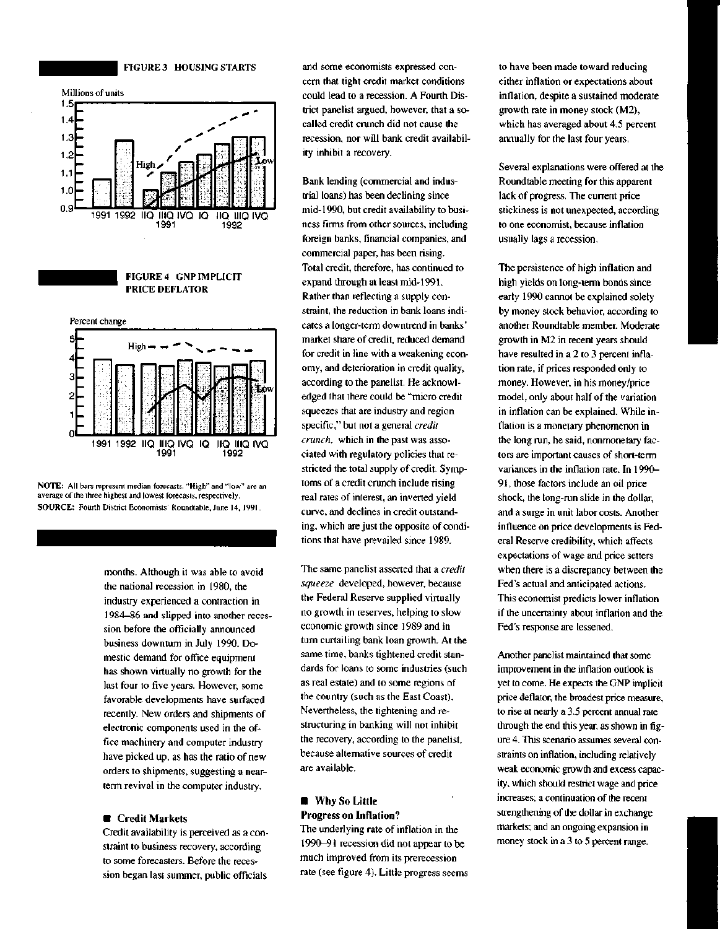**FIGURE 3 HOUSING STARTS**



NOTE: All bars represent median forecasts. "High" and "low" are an average of the three highest and lowest forecasts, respectively. SOURCE: Fourth District Economists' Roundtable, June 14, 1991.

> months. Although it was able to avoid the national recession in 1980, the industry experienced a contraction in 1984—86 and slipped into another recession before the officially announced business downturn in July 1990. Domestic demand for office equipment has shown virtually no growth for the last four to five years. However, some favorable developments have surfaced recently. New orders and shipments of electronic components used in the office machinery and computer industry have picked up, as has the ratio of new orders to shipments, suggesting a nearterm revival in the computer industry.

### **• Credit Markets**

Credit availability is perceived as a constraint to business recovery, according to some forecasters. Before the recession began last summer, public officials

and some economists expressed concern that tight credit market conditions could lead to a recession. A Fourth District panelist argued, however, that a socalled credit crunch did not cause the recession, nor will bank credit availability inhibit a recovery.

Bank lending (commercial and industrial loans) has been declining since mid-1990, but credit availability to business firms from other sources, including foreign banks, financial companies, and commercial paper, has been rising. Total credit, therefore, has continued to expand through at least mid-1991. Rather than reflecting a supply constraint, the reduction in bank loans indicates a longer-term downtrend in banks' market share of credit, reduced demand for credit in line with a weakening economy, and deterioration in credit quality, according to the panelist. He acknowledged that there could be "micro credit squeezes that are industry and region specific," but not a general *credit crunch,* which in the past was associated with regulatory policies that restricted the total supply of credit. Symptoms of a credit crunch include rising real rates of interest, an inverted yield curve, and declines in credit outstanding, which are just the opposite of conditions that have prevailed since 1989.

The same panelist asserted that a *credit squeeze* developed, however, because the Federal Reserve supplied virtually no growth in reserves, helping to slow economic growth since 1989 and in turn curtailing bank loan growth. At the same time, banks tightened credit standards for loans to some industries (such as real estate) and to some regions of the country (such as the East Coast). Nevertheless, the tightening and restructuring in banking will not inhibit the recovery, according to the panelist, because alternative sources of credit are available.

# **• Why** So **Little Progress on Inflation?**

The underlying rate of inflation in the 1990-91 recession did not appear to be much improved from its prerecession rate (see figure 4). Little progress seems to have been made toward reducing either inflation or expectations about inflation, despite a sustained moderate growth rate in money stock (M2), which has averaged about 4.5 percent annually for the last four years.

Several explanations were offered at the Roundtable meeting for this apparent lack of progress. The current price stickiness is not unexpected, according to one economist, because inflation usually lags a recession.

The persistence of high inflation and high yields on long-term bonds since early 1990 cannot be explained solely by money stock behavior, according to another Roundtable member. Moderate growth in M2 in recent years should have resulted in a 2 to 3 percent inflation rate, if prices responded only to money. However, in his money/price model, only about half of the variation in inflation can be explained. While inflation is a monetary phenomenon in the long run, he said, nonmonetary factors are important causes of short-term variances in the inflation rate. In 1990- 91, those factors include an oil price shock, the long-run slide in the dollar, and a surge in unit labor costs. Another influence on price developments is Federal Reserve credibility, which affects expectations of wage and price setters when there is a discrepancy between the Fed's actual and anticipated actions. This economist predicts lower inflation if the uncertainty about inflation and the Fed's response are lessened.

Another panelist maintained that some improvement in the inflation outlook is yet to come. He expects the GNP implicit price deflator, the broadest price measure, to rise at nearly a 3.5 percent annual rate through the end this year, as shown in figure 4. This scenario assumes several constraints on inflation, including relatively weak economic growth and excess capacity, which should restrict wage and price increases; a continuation of the recent strengthening of the dollar in exchange markets; and an ongoing expansion in money stock in a 3 to 5 percent range.